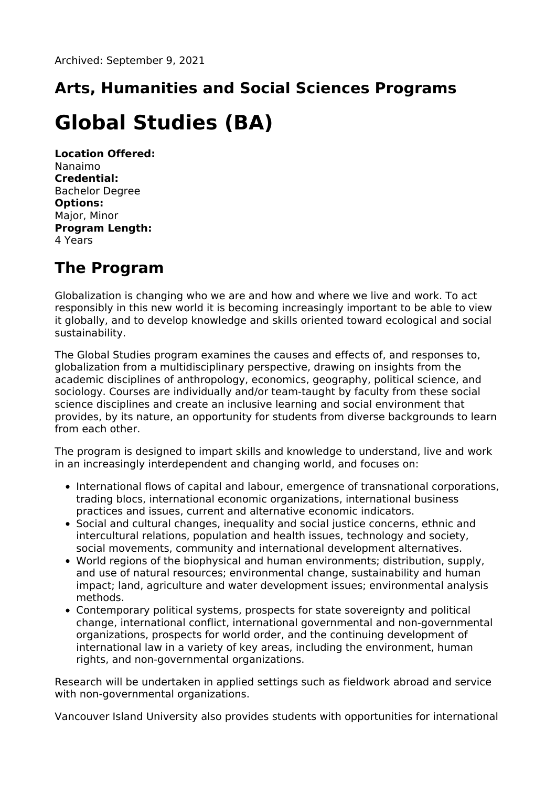## **Arts, Humanities and Social Sciences Programs**

# **Global Studies (BA)**

**Location Offered:** Nanaimo **Credential:** Bachelor Degree **Options:** Major, Minor **Program Length:** 4 Years

## **The Program**

Globalization is changing who we are and how and where we live and work. To act responsibly in this new world it is becoming increasingly important to be able to view it globally, and to develop knowledge and skills oriented toward ecological and social sustainability.

The Global Studies program examines the causes and effects of, and responses to, globalization from a multidisciplinary perspective, drawing on insights from the academic disciplines of anthropology, economics, geography, political science, and sociology. Courses are individually and/or team-taught by faculty from these social science disciplines and create an inclusive learning and social environment that provides, by its nature, an opportunity for students from diverse backgrounds to learn from each other.

The program is designed to impart skills and knowledge to understand, live and work in an increasingly interdependent and changing world, and focuses on:

- International flows of capital and labour, emergence of transnational corporations, trading blocs, international economic organizations, international business practices and issues, current and alternative economic indicators.
- Social and cultural changes, inequality and social justice concerns, ethnic and intercultural relations, population and health issues, technology and society, social movements, community and international development alternatives.
- World regions of the biophysical and human environments; distribution, supply, and use of natural resources; environmental change, sustainability and human impact; land, agriculture and water development issues; environmental analysis methods.
- Contemporary political systems, prospects for state sovereignty and political change, international conflict, international governmental and non-governmental organizations, prospects for world order, and the continuing development of international law in a variety of key areas, including the environment, human rights, and non-governmental organizations.

Research will be undertaken in applied settings such as fieldwork abroad and service with non-governmental organizations.

Vancouver Island University also provides students with opportunities for international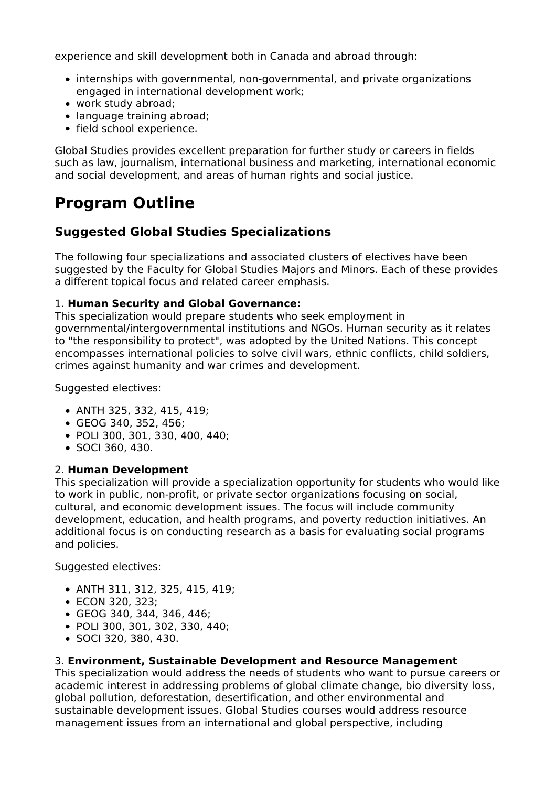experience and skill development both in Canada and abroad through:

- internships with governmental, non-governmental, and private organizations engaged in international development work;
- work study abroad;
- language training abroad;
- field school experience.

Global Studies provides excellent preparation for further study or careers in fields such as law, journalism, international business and marketing, international economic and social development, and areas of human rights and social justice.

### **Program Outline**

#### **Suggested Global Studies Specializations**

The following four specializations and associated clusters of electives have been suggested by the Faculty for Global Studies Majors and Minors. Each of these provides a different topical focus and related career emphasis.

#### 1. **Human Security and Global Governance:**

This specialization would prepare students who seek employment in governmental/intergovernmental institutions and NGOs. Human security as it relates to "the responsibility to protect", was adopted by the United Nations. This concept encompasses international policies to solve civil wars, ethnic conflicts, child soldiers, crimes against humanity and war crimes and development.

Suggested electives:

- ANTH 325, 332, 415, 419;
- GEOG 340, 352, 456;
- POLI 300, 301, 330, 400, 440;
- SOCI 360, 430.

#### 2. **Human Development**

This specialization will provide a specialization opportunity for students who would like to work in public, non-profit, or private sector organizations focusing on social, cultural, and economic development issues. The focus will include community development, education, and health programs, and poverty reduction initiatives. An additional focus is on conducting research as a basis for evaluating social programs and policies.

Suggested electives:

- ANTH 311, 312, 325, 415, 419;
- ECON 320, 323;
- GEOG 340, 344, 346, 446;
- POLI 300, 301, 302, 330, 440;
- SOCI 320, 380, 430.

#### 3. **Environment, Sustainable Development and Resource Management**

This specialization would address the needs of students who want to pursue careers or academic interest in addressing problems of global climate change, bio diversity loss, global pollution, deforestation, desertification, and other environmental and sustainable development issues. Global Studies courses would address resource management issues from an international and global perspective, including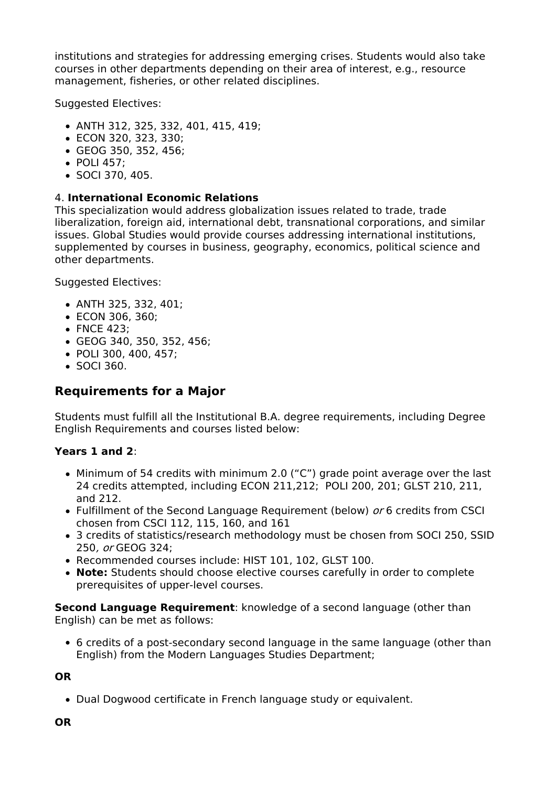institutions and strategies for addressing emerging crises. Students would also take courses in other departments depending on their area of interest, e.g., resource management, fisheries, or other related disciplines.

Suggested Electives:

- ANTH 312, 325, 332, 401, 415, 419;
- ECON 320, 323, 330;
- GEOG 350, 352, 456;
- POLI 457:
- SOCI 370, 405.

#### 4. **International Economic Relations**

This specialization would address globalization issues related to trade, trade liberalization, foreign aid, international debt, transnational corporations, and similar issues. Global Studies would provide courses addressing international institutions, supplemented by courses in business, geography, economics, political science and other departments.

Suggested Electives:

- ANTH 325, 332, 401;
- ECON 306, 360;
- FNCE 423:
- GEOG 340, 350, 352, 456;
- POLI 300, 400, 457;
- SOCI 360.

#### **Requirements for a Major**

Students must fulfill all the Institutional B.A. degree requirements, including Degree English Requirements and courses listed below:

#### **Years 1 and 2**:

- Minimum of 54 credits with minimum 2.0 ("C") grade point average over the last 24 credits attempted, including ECON 211,212; POLI 200, 201; GLST 210, 211, and 212.
- Fulfillment of the Second Language Requirement (below) or 6 credits from CSCI chosen from CSCI 112, 115, 160, and 161
- 3 credits of statistics/research methodology must be chosen from SOCI 250, SSID 250, or GEOG 324;
- Recommended courses include: HIST 101, 102, GLST 100.
- **Note:** Students should choose elective courses carefully in order to complete prerequisites of upper-level courses.

**Second Language Requirement**: knowledge of a second language (other than English) can be met as follows:

6 credits of a post-secondary second language in the same language (other than English) from the Modern Languages Studies Department;

#### **OR**

• Dual Dogwood certificate in French language study or equivalent.